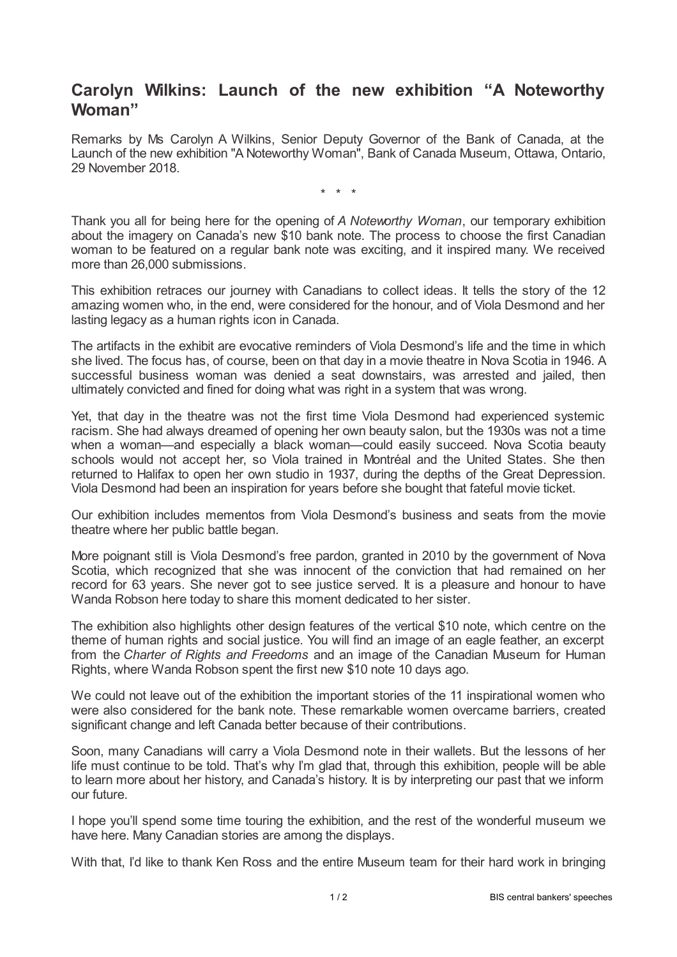## **Carolyn Wilkins: Launch of the new exhibition "A Noteworthy Woman"**

Remarks by Ms Carolyn A Wilkins, Senior Deputy Governor of the Bank of Canada, at the Launch of the new exhibition "A Noteworthy Woman", Bank of Canada Museum, Ottawa, Ontario, 29 November 2018.

\* \* \*

Thank you all for being here for the opening of *A Noteworthy Woman*, our temporary exhibition about the imagery on Canada's new \$10 bank note. The process to choose the first Canadian woman to be featured on a regular bank note was exciting, and it inspired many. We received more than 26,000 submissions.

This exhibition retraces our journey with Canadians to collect ideas. It tells the story of the 12 amazing women who, in the end, were considered for the honour, and of Viola Desmond and her lasting legacy as a human rights icon in Canada.

The artifacts in the exhibit are evocative reminders of Viola Desmond's life and the time in which she lived. The focus has, of course, been on that day in a movie theatre in Nova Scotia in 1946. A successful business woman was denied a seat downstairs, was arrested and jailed, then ultimately convicted and fined for doing what was right in a system that was wrong.

Yet, that day in the theatre was not the first time Viola Desmond had experienced systemic racism. She had always dreamed of opening her own beauty salon, but the 1930s was not a time when a woman—and especially a black woman—could easily succeed. Nova Scotia beauty schools would not accept her, so Viola trained in Montréal and the United States. She then returned to Halifax to open her own studio in 1937, during the depths of the Great Depression. Viola Desmond had been an inspiration for years before she bought that fateful movie ticket.

Our exhibition includes mementos from Viola Desmond's business and seats from the movie theatre where her public battle began.

More poignant still is Viola Desmond's free pardon, granted in 2010 by the government of Nova Scotia, which recognized that she was innocent of the conviction that had remained on her record for 63 years. She never got to see justice served. It is a pleasure and honour to have Wanda Robson here today to share this moment dedicated to her sister.

The exhibition also highlights other design features of the vertical \$10 note, which centre on the theme of human rights and social justice. You will find an image of an eagle feather, an excerpt from the *Charter of Rights and Freedoms* and an image of the Canadian Museum for Human Rights, where Wanda Robson spent the first new \$10 note 10 days ago.

We could not leave out of the exhibition the important stories of the 11 inspirational women who were also considered for the bank note. These remarkable women overcame barriers, created significant change and left Canada better because of their contributions.

Soon, many Canadians will carry a Viola Desmond note in their wallets. But the lessons of her life must continue to be told. That's why I'm glad that, through this exhibition, people will be able to learn more about her history, and Canada's history. It is by interpreting our past that we inform our future.

I hope you'll spend some time touring the exhibition, and the rest of the wonderful museum we have here. Many Canadian stories are among the displays.

With that, I'd like to thank Ken Ross and the entire Museum team for their hard work in bringing